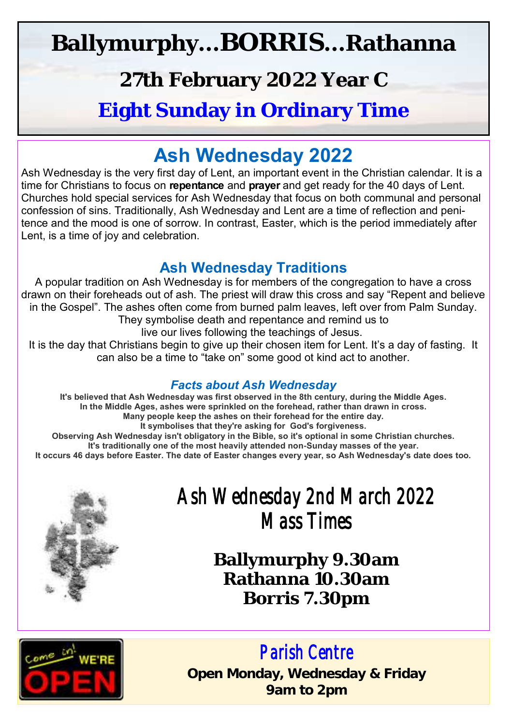## **Ballymurphy...BORRIS...Rathanna**

### **27th February 2022 Year C**

#### **Eight Sunday in Ordinary Time**

#### **Ash Wednesday 2022**

Ash Wednesday is the very first day of Lent, an important event in the Christian calendar. It is a time for Christians to focus on **repentance** and **prayer** and get ready for the 40 days of Lent. Churches hold special services for Ash Wednesday that focus on both communal and personal confession of sins. Traditionally, Ash Wednesday and Lent are a time of reflection and penitence and the mood is one of sorrow. In contrast, Easter, which is the period immediately after Lent, is a time of joy and celebration.

#### **Ash Wednesday Traditions**

A popular tradition on Ash Wednesday is for members of the congregation to have a cross drawn on their foreheads out of ash. The priest will draw this cross and say "Repent and believe in the Gospel". The ashes often come from burned palm leaves, left over from Palm Sunday. They symbolise death and repentance and remind us to

live our lives following the teachings of Jesus.

It is the day that Christians begin to give up their chosen item for Lent. It's a day of fasting. It can also be a time to "take on" some good ot kind act to another.

#### *Facts about Ash Wednesday*

**It's believed that Ash Wednesday was first observed in the 8th century, during the Middle Ages. In the Middle Ages, ashes were sprinkled on the forehead, rather than drawn in cross. Many people keep the ashes on their forehead for the entire day. It symbolises that they're asking for God's forgiveness. Observing Ash Wednesday isn't obligatory in the Bible, so it's optional in some Christian churches. It's traditionally one of the most heavily attended non-Sunday masses of the year. It occurs 46 days before Easter. The date of Easter changes every year, so Ash Wednesday's date does too.**



### *Ash Wednesday 2nd March 2022 Mass Times*

**Ballymurphy 9.30am Rathanna 10.30am Borris 7.30pm**



#### *Parish Centre*

**Open Monday, Wednesday & Friday 9am to 2pm**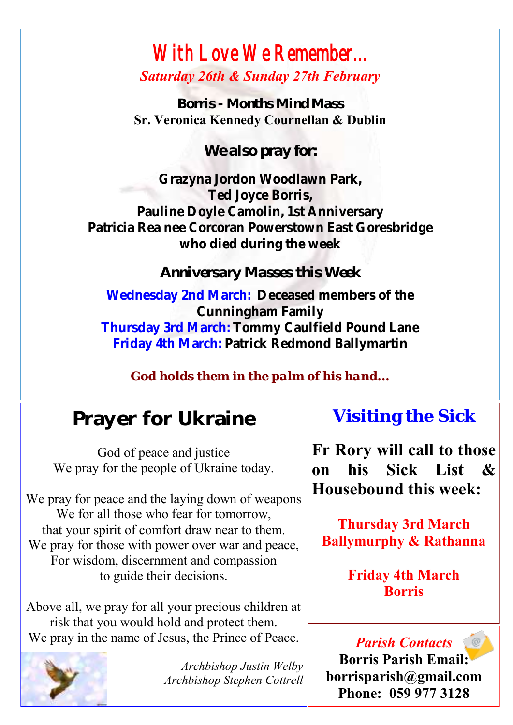#### *With Love We Remember... Saturday 26th & Sunday 27th February*

*Borris - Months Mind Mass* **Sr. Veronica Kennedy Cournellan & Dublin**

*We also pray for:*

**Grazyna Jordon Woodlawn Park, Ted Joyce Borris, Pauline Doyle Camolin, 1st Anniversary Patricia Rea nee Corcoran Powerstown East Goresbridge who died during the week**

*Anniversary Masses this Week*

**Wednesday 2nd March: Deceased members of the Cunningham Family Thursday 3rd March: Tommy Caulfield Pound Lane Friday 4th March: Patrick Redmond Ballymartin**

*God holds them in the palm of his hand...*

### Prayer for Ukraine

God of peace and justice We pray for the people of Ukraine today.

We pray for peace and the laying down of weapons We for all those who fear for tomorrow. that your spirit of comfort draw near to them. We pray for those with power over war and peace, For wisdom, discernment and compassion to guide their decisions.

Above all, we pray for all your precious children at risk that you would hold and protect them. We pray in the name of Jesus, the Prince of Peace.



*Archbishop Justin Welby Archbishop Stephen Cottrell*

#### **Visiting the Sick**

**Fr Rory will call to those on his Sick List & Housebound this week:**

**Thursday 3rd March Ballymurphy & Rathanna**

> **Friday 4th March Borris**

*Parish Contacts* **Borris Parish Email: borrisparish@gmail.com Phone: 059 977 3128**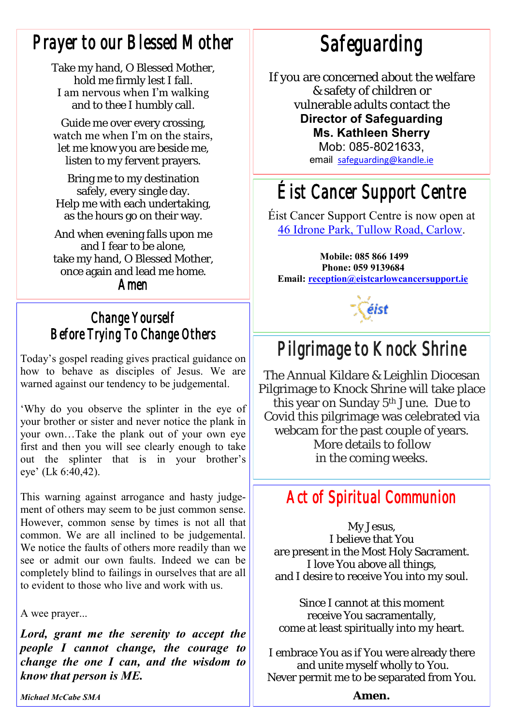#### *Prayer to our Blessed Mother*

Take my hand, O Blessed Mother, hold me firmly lest I fall. I am nervous when I'm walking and to thee I humbly call.

Guide me over every crossing, watch me when I'm on the stairs, let me know you are beside me, listen to my fervent prayers.

Bring me to my destination safely, every single day. Help me with each undertaking, as the hours go on their way.

And when evening falls upon me and I fear to be alone, take my hand, O Blessed Mother, once again and lead me home.

*Amen*

#### *Change Yourself Before Trying To Change Others*

Today's gospel reading gives practical guidance on how to behave as disciples of Jesus. We are warned against our tendency to be judgemental.

'Why do you observe the splinter in the eye of your brother or sister and never notice the plank in your own…Take the plank out of your own eye first and then you will see clearly enough to take out the splinter that is in your brother's eye' (Lk 6:40,42).

This warning against arrogance and hasty judgement of others may seem to be just common sense. However, common sense by times is not all that common. We are all inclined to be judgemental. We notice the faults of others more readily than we see or admit our own faults. Indeed we can be completely blind to failings in ourselves that are all to evident to those who live and work with us.

A wee prayer...

*Lord, grant me the serenity to accept the people I cannot change, the courage to change the one I can, and the wisdom to know that person is ME.*

*Safeguarding* 

If you are concerned about the welfare & safety of children or vulnerable adults contact the

#### **Director of Safeguarding Ms. Kathleen Sherry**  Mob: 085-8021633,

email [safeguarding@kandle.ie](mailto:safeguarding@kandle.ie)

## *Éist Cancer Support Centre*

Éist Cancer Support Centre is now open at [46 Idrone Park, Tullow Road, Carlow.](https://www.google.com/maps/search/46+Idrone+Park,+Tullow+Road,+Carlow?entry=gmail&source=g) 

**Mobile: 085 866 1499 Phone: 059 9139684 Email: [reception@eistcarlowcancersupport.ie](https://mail.google.com/mail/u/0/h/1qtoezsqni0f/?&cs=wh&v=b&to=reception@eistcarlowcancersupport.ie)**

éist

## *Pilgrimage to Knock Shrine*

The Annual Kildare & Leighlin Diocesan Pilgrimage to Knock Shrine will take place this year on Sunday 5<sup>th</sup> June. Due to Covid this pilgrimage was celebrated via webcam for the past couple of years. More details to follow in the coming weeks.

#### *Act of Spiritual Communion*

My Jesus, I believe that You are present in the Most Holy Sacrament. I love You above all things, and I desire to receive You into my soul.

Since I cannot at this moment receive You sacramentally, come at least spiritually into my heart.

I embrace You as if You were already there and unite myself wholly to You. Never permit me to be separated from You.

*Michael McCabe SMA* 

**Amen.**